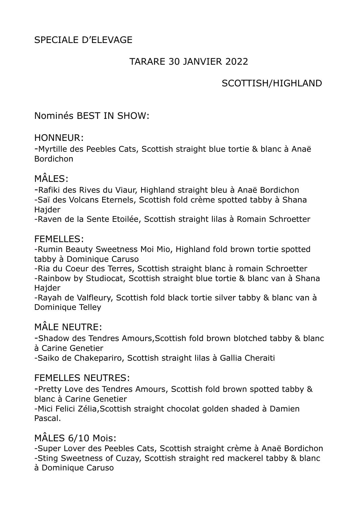### TARARE 30 JANVIER 2022

# SCOTTISH/HIGHLAND

Nominés BEST IN SHOW:

#### HONNEUR:

-Myrtille des Peebles Cats, Scottish straight blue tortie & blanc à Anaë Bordichon

# MÂLES:

-Rafiki des Rives du Viaur, Highland straight bleu à Anaë Bordichon -Saï des Volcans Eternels, Scottish fold crème spotted tabby à Shana **Hajder** 

-Raven de la Sente Etoilée, Scottish straight lilas à Romain Schroetter

### FEMELLES:

-Rumin Beauty Sweetness Moi Mio, Highland fold brown tortie spotted tabby à Dominique Caruso

-Ria du Coeur des Terres, Scottish straight blanc à romain Schroetter -Rainbow by Studiocat, Scottish straight blue tortie & blanc van à Shana **Haider** 

-Rayah de Valfleury, Scottish fold black tortie silver tabby & blanc van à Dominique Telley

### MÂI E NEUTRE:

-Shadow des Tendres Amours,Scottish fold brown blotched tabby & blanc à Carine Genetier

-Saiko de Chakepariro, Scottish straight lilas à Gallia Cheraiti

### FEMELLES NEUTRES:

-Pretty Love des Tendres Amours, Scottish fold brown spotted tabby & blanc à Carine Genetier

-Mici Felici Zélia,Scottish straight chocolat golden shaded à Damien Pascal.

### MÂLES 6/10 Mois:

-Super Lover des Peebles Cats, Scottish straight crème à Anaë Bordichon -Sting Sweetness of Cuzay, Scottish straight red mackerel tabby & blanc à Dominique Caruso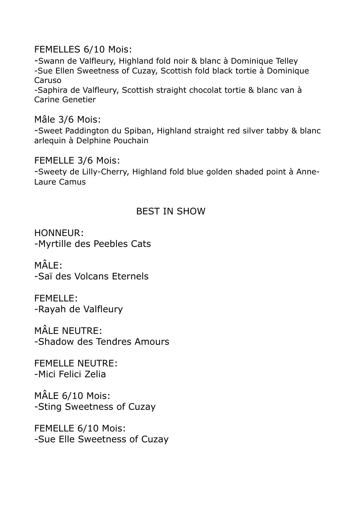#### FEMELLES 6/10 Mois:

-Swann de Valfleury, Highland fold noir & blanc à Dominique Telley -Sue Ellen Sweetness of Cuzay, Scottish fold black tortie à Dominique Caruso

-Saphira de Valfleury, Scottish straight chocolat tortie & blanc van à Carine Genetier

Mâle 3/6 Mois:

-Sweet Paddington du Spiban, Highland straight red silver tabby & blanc arlequin à Delphine Pouchain

FEMELLE 3/6 Mois:

-Sweety de Lilly-Cherry, Highland fold blue golden shaded point à Anne-Laure Camus

### BEST IN SHOW

HONNEUR: -Myrtille des Peebles Cats

 $M\hat{A}$ l F $\cdot$ -Saï des Volcans Eternels

FEMELLE: -Rayah de Valfleury

MÂI F NFUTRE: -Shadow des Tendres Amours

FEMELLE NEUTRE: -Mici Felici Zelia

MÂLE 6/10 Mois: -Sting Sweetness of Cuzay

FEMELLE 6/10 Mois: -Sue Elle Sweetness of Cuzay